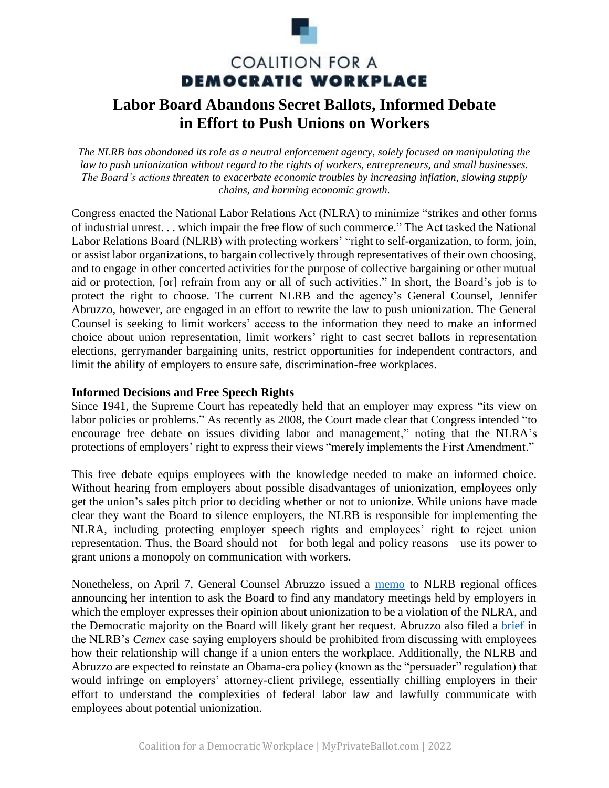

# **COALITION FOR A DEMOCRATIC WORKPLACE**

# **Labor Board Abandons Secret Ballots, Informed Debate in Effort to Push Unions on Workers**

*The NLRB has abandoned its role as a neutral enforcement agency, solely focused on manipulating the law to push unionization without regard to the rights of workers, entrepreneurs, and small businesses. The Board's actions threaten to exacerbate economic troubles by increasing inflation, slowing supply chains, and harming economic growth.*

Congress enacted the National Labor Relations Act (NLRA) to minimize "strikes and other forms of industrial unrest. . . which impair the free flow of such commerce." The Act tasked the National Labor Relations Board (NLRB) with protecting workers' "right to self-organization, to form, join, or assist labor organizations, to bargain collectively through representatives of their own choosing, and to engage in other concerted activities for the purpose of collective bargaining or other mutual aid or protection, [or] refrain from any or all of such activities." In short, the Board's job is to protect the right to choose. The current NLRB and the agency's General Counsel, Jennifer Abruzzo, however, are engaged in an effort to rewrite the law to push unionization. The General Counsel is seeking to limit workers' access to the information they need to make an informed choice about union representation, limit workers' right to cast secret ballots in representation elections, gerrymander bargaining units, restrict opportunities for independent contractors, and limit the ability of employers to ensure safe, discrimination-free workplaces.

#### **Informed Decisions and Free Speech Rights**

Since 1941, the Supreme Court has repeatedly held that an employer may express "its view on labor policies or problems." As recently as 2008, the Court made clear that Congress intended "to encourage free debate on issues dividing labor and management," noting that the NLRA's protections of employers' right to express their views "merely implements the First Amendment."

This free debate equips employees with the knowledge needed to make an informed choice. Without hearing from employers about possible disadvantages of unionization, employees only get the union's sales pitch prior to deciding whether or not to unionize. While unions have made clear they want the Board to silence employers, the NLRB is responsible for implementing the NLRA, including protecting employer speech rights and employees' right to reject union representation. Thus, the Board should not—for both legal and policy reasons—use its power to grant unions a monopoly on communication with workers.

Nonetheless, on April 7, General Counsel Abruzzo issued a [memo](https://www.nlrb.gov/news-outreach/news-story/nlrb-general-counsel-jennifer-abruzzo-issues-memo-on-captive-audience-and) to NLRB regional offices announcing her intention to ask the Board to find any mandatory meetings held by employers in which the employer expresses their opinion about unionization to be a violation of the NLRA, and the Democratic majority on the Board will likely grant her request. Abruzzo also filed a [brief](https://aboutblaw.com/2wC) in the NLRB's *Cemex* case saying employers should be prohibited from discussing with employees how their relationship will change if a union enters the workplace. Additionally, the NLRB and Abruzzo are expected to reinstate an Obama-era policy (known as the "persuader" regulation) that would infringe on employers' attorney-client privilege, essentially chilling employers in their effort to understand the complexities of federal labor law and lawfully communicate with employees about potential unionization.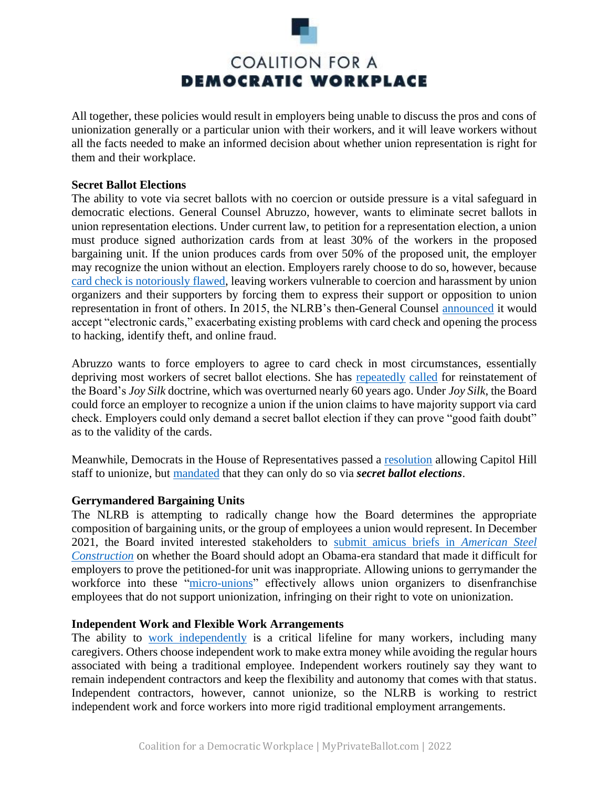

All together, these policies would result in employers being unable to discuss the pros and cons of unionization generally or a particular union with their workers, and it will leave workers without all the facts needed to make an informed decision about whether union representation is right for them and their workplace.

#### **Secret Ballot Elections**

The ability to vote via secret ballots with no coercion or outside pressure is a vital safeguard in democratic elections. General Counsel Abruzzo, however, wants to eliminate secret ballots in union representation elections. Under current law, to petition for a representation election, a union must produce signed authorization cards from at least 30% of the workers in the proposed bargaining unit. If the union produces cards from over 50% of the proposed unit, the employer may recognize the union without an election. Employers rarely choose to do so, however, because [card check is notoriously flawed,](https://www.uschamber.com/assets/documents/Beyond-Belief-Report-Joy-Silk_04.26.2022.pdf) leaving workers vulnerable to coercion and harassment by union organizers and their supporters by forcing them to express their support or opposition to union representation in front of others. In 2015, the NLRB's then-General Counsel [announced](https://apps.nlrb.gov/link/document.aspx/09031d4581e5edc8) it would accept "electronic cards," exacerbating existing problems with card check and opening the process to hacking, identify theft, and online fraud.

Abruzzo wants to force employers to agree to card check in most circumstances, essentially depriving most workers of secret ballot elections. She has [repeatedly](https://aboutblaw.com/2wC) [called](https://www.nlrb.gov/news-outreach/news-story/general-counsel-jennifer-abruzzo-releases-memorandum-presenting-issue) for reinstatement of the Board's *Joy Silk* doctrine, which was overturned nearly 60 years ago. Under *Joy Silk*, the Board could force an employer to recognize a union if the union claims to have majority support via card check. Employers could only demand a secret ballot election if they can prove "good faith doubt" as to the validity of the cards.

Meanwhile, Democrats in the House of Representatives passed a [resolution](https://context-cdn.washingtonpost.com/notes/prod/default/documents/c3fdacdb-c552-4cb6-aa2c-e56387012e45/note/72401a79-87ab-4d8c-9a90-a5e8c741f15d.#page=1) allowing Capitol Hill staff to unionize, but [mandated](https://www.ocwr.gov/wp-content/uploads/2021/09/final_regulations_lmr_19960930.pdf) that they can only do so via *secret ballot elections*.

# **Gerrymandered Bargaining Units**

The NLRB is attempting to radically change how the Board determines the appropriate composition of bargaining units, or the group of employees a union would represent. In December 2021, the Board invited interested stakeholders to [submit amicus briefs in](https://www.nlrb.gov/news-outreach/news-story/nlrb-invites-briefs-regarding-appropriate-bargaining-units) *American Steel [Construction](https://www.nlrb.gov/news-outreach/news-story/nlrb-invites-briefs-regarding-appropriate-bargaining-units)* on whether the Board should adopt an Obama-era standard that made it difficult for employers to prove the petitioned-for unit was inappropriate. Allowing unions to gerrymander the workforce into these ["micro-unions"](https://myprivateballot.com/issues/micro-unions/) effectively allows union organizers to disenfranchise employees that do not support unionization, infringing on their right to vote on unionization.

#### **Independent Work and Flexible Work Arrangements**

The ability to [work independently](https://myprivateballot.com/issues/independent-contractors/) is a critical lifeline for many workers, including many caregivers. Others choose independent work to make extra money while avoiding the regular hours associated with being a traditional employee. Independent workers routinely say they want to remain independent contractors and keep the flexibility and autonomy that comes with that status. Independent contractors, however, cannot unionize, so the NLRB is working to restrict independent work and force workers into more rigid traditional employment arrangements.